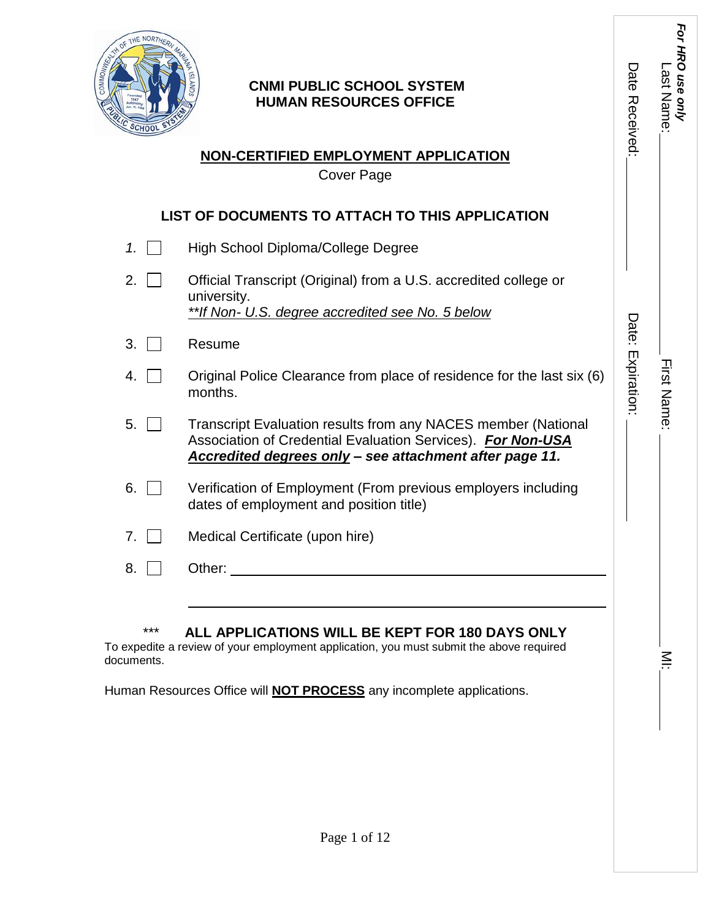

## **CNMI PUBLIC SCHOOL SYSTEM HUMAN RESOURCES OFFICE**

# **NON-CERTIFIED EMPLOYMENT APPLICATION**

Cover Page

# **LIST OF DOCUMENTS TO ATTACH TO THIS APPLICATION**

- *1.* High School Diploma/College Degree
- 2. **Construent** Official Transcript (Original) from a U.S. accredited college or university. *\*\*If Non- U.S. degree accredited see No. 5 below*
- 3. **Nesume**
- 4.  $\Box$  Original Police Clearance from place of residence for the last six (6) months.
- 5. T Transcript Evaluation results from any NACES member (National Association of Credential Evaluation Services). *For Non-USA Accredited degrees only – see attachment after page 11.*
- 6. Verification of Employment (From previous employers including dates of employment and position title)
- 7. Medical Certificate (upon hire)
- 8. Other:  $\Box$

## \*\*\* **ALL APPLICATIONS WILL BE KEPT FOR 180 DAYS ONLY**

To expedite a review of your employment application, you must submit the above required documents.

Human Resources Office will **NOT PROCESS** any incomplete applications.

First Name: First Name: MI:

Date: Expiration:

Date: Expiration:

*For HRO use only*

For HRO use only

Last Name:

Last Name

Date Received:

Date Received:

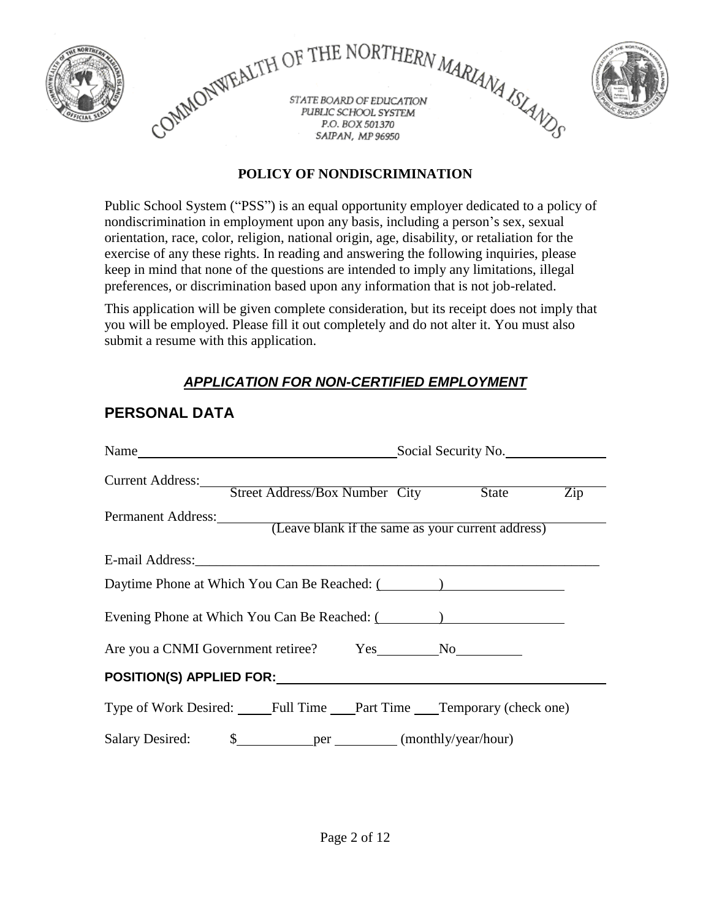

## **POLICY OF NONDISCRIMINATION**

Public School System ("PSS") is an equal opportunity employer dedicated to a policy of nondiscrimination in employment upon any basis, including a person's sex, sexual orientation, race, color, religion, national origin, age, disability, or retaliation for the exercise of any these rights. In reading and answering the following inquiries, please keep in mind that none of the questions are intended to imply any limitations, illegal preferences, or discrimination based upon any information that is not job-related.

This application will be given complete consideration, but its receipt does not imply that you will be employed. Please fill it out completely and do not alter it. You must also submit a resume with this application.

# *APPLICATION FOR NON-CERTIFIED EMPLOYMENT*

| Name                                                                 | Social Security No.                                      |  |  |
|----------------------------------------------------------------------|----------------------------------------------------------|--|--|
| Current Address:                                                     | Street Address/Box Number City State<br>$\overline{Zip}$ |  |  |
| Permanent Address: (Leave blank if the same as your current address) |                                                          |  |  |
|                                                                      |                                                          |  |  |
| Daytime Phone at Which You Can Be Reached: (Sample 2014)             |                                                          |  |  |
| Evening Phone at Which You Can Be Reached: (Sample 1997)             |                                                          |  |  |
| Are you a CNMI Government retiree? Yes No No                         |                                                          |  |  |
|                                                                      |                                                          |  |  |
| Type of Work Desired: Full Time Part Time Temporary (check one)      |                                                          |  |  |
|                                                                      |                                                          |  |  |

# **PERSONAL DATA**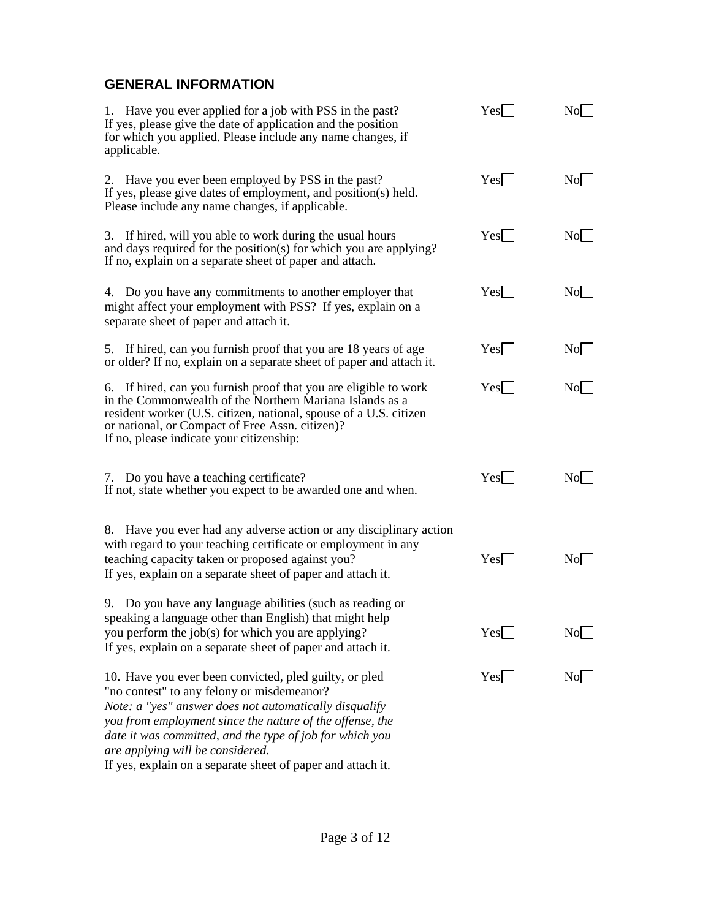## **GENERAL INFORMATION**

| 1. Have you ever applied for a job with PSS in the past?<br>If yes, please give the date of application and the position<br>for which you applied. Please include any name changes, if<br>applicable.                                                                                                                                                                                     | Yes              | No                     |
|-------------------------------------------------------------------------------------------------------------------------------------------------------------------------------------------------------------------------------------------------------------------------------------------------------------------------------------------------------------------------------------------|------------------|------------------------|
| 2. Have you ever been employed by PSS in the past?<br>If yes, please give dates of employment, and position(s) held.<br>Please include any name changes, if applicable.                                                                                                                                                                                                                   | $Yes$            | No                     |
| 3. If hired, will you able to work during the usual hours<br>and days required for the position(s) for which you are applying?<br>If no, explain on a separate sheet of paper and attach.                                                                                                                                                                                                 | Yes <sup>1</sup> | No                     |
| 4. Do you have any commitments to another employer that<br>might affect your employment with PSS? If yes, explain on a<br>separate sheet of paper and attach it.                                                                                                                                                                                                                          | Yes              | No                     |
| 5. If hired, can you furnish proof that you are 18 years of age<br>or older? If no, explain on a separate sheet of paper and attach it.                                                                                                                                                                                                                                                   | Yes              | No                     |
| 6. If hired, can you furnish proof that you are eligible to work<br>in the Commonwealth of the Northern Mariana Islands as a<br>resident worker (U.S. citizen, national, spouse of a U.S. citizen<br>or national, or Compact of Free Assn. citizen)?<br>If no, please indicate your citizenship:                                                                                          | Yes              | No                     |
| 7. Do you have a teaching certificate?<br>If not, state whether you expect to be awarded one and when.                                                                                                                                                                                                                                                                                    | Yes              | $\overline{\text{No}}$ |
| 8. Have you ever had any adverse action or any disciplinary action<br>with regard to your teaching certificate or employment in any<br>teaching capacity taken or proposed against you?<br>If yes, explain on a separate sheet of paper and attach it.                                                                                                                                    | Yes              | No                     |
| 9. Do you have any language abilities (such as reading or<br>speaking a language other than English) that might help<br>you perform the job(s) for which you are applying?<br>If yes, explain on a separate sheet of paper and attach it.                                                                                                                                                 | Yes              | No                     |
| 10. Have you ever been convicted, pled guilty, or pled<br>"no contest" to any felony or misdemeanor?<br>Note: a "yes" answer does not automatically disqualify<br>you from employment since the nature of the offense, the<br>date it was committed, and the type of job for which you<br>are applying will be considered.<br>If yes, explain on a separate sheet of paper and attach it. | Yes              | $\overline{\text{No}}$ |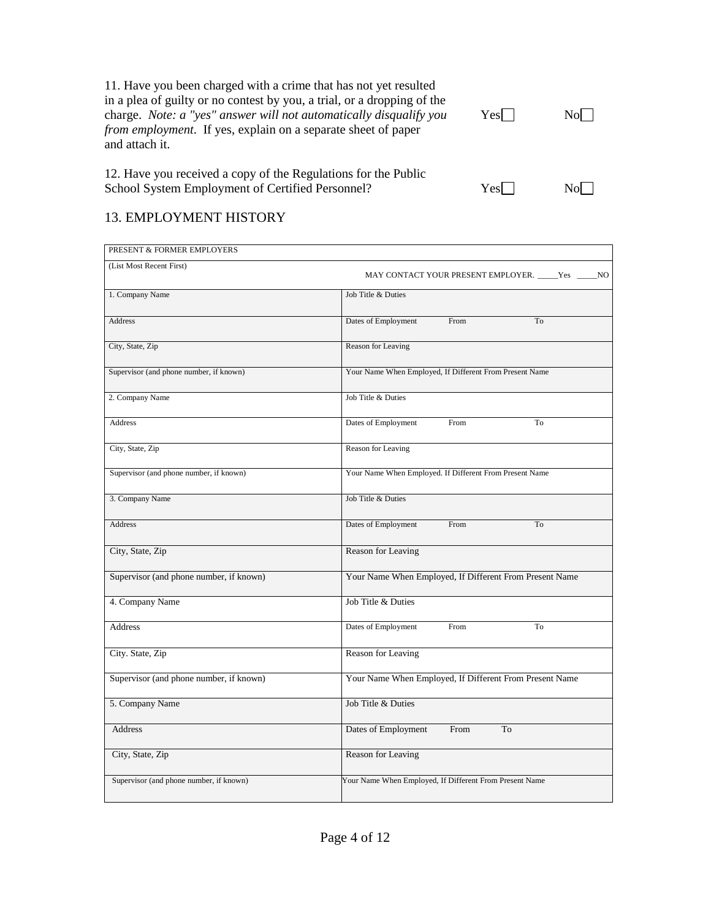11. Have you been charged with a crime that has not yet resulted in a plea of guilty or no contest by you, a trial, or a dropping of the charge. *Note: a "yes" answer will not automatically disqualify you* Yes No *from employment*. If yes, explain on a separate sheet of paper and attach it.

12. Have you received a copy of the Regulations for the Public School System Employment of Certified Personnel? Yes Yes

## 13. EMPLOYMENT HISTORY

| PRESENT & FORMER EMPLOYERS              |                                                         |
|-----------------------------------------|---------------------------------------------------------|
| (List Most Recent First)                | MAY CONTACT YOUR PRESENT EMPLOYER. _____Yes _____NO     |
| 1. Company Name                         | Job Title & Duties                                      |
| Address                                 | Dates of Employment<br>From<br>To                       |
| City, State, Zip                        | Reason for Leaving                                      |
| Supervisor (and phone number, if known) | Your Name When Employed, If Different From Present Name |
| 2. Company Name                         | Job Title & Duties                                      |
| <b>Address</b>                          | Dates of Employment<br>From<br>To                       |
| City, State, Zip                        | Reason for Leaving                                      |
| Supervisor (and phone number, if known) | Your Name When Employed. If Different From Present Name |
| 3. Company Name                         | Job Title & Duties                                      |
| <b>Address</b>                          | Dates of Employment<br>From<br>To                       |
| City, State, Zip                        | Reason for Leaving                                      |
| Supervisor (and phone number, if known) | Your Name When Employed, If Different From Present Name |
| 4. Company Name                         | Job Title & Duties                                      |
| <b>Address</b>                          | Dates of Employment<br>From<br>To                       |
| City. State, Zip                        | Reason for Leaving                                      |
| Supervisor (and phone number, if known) | Your Name When Employed, If Different From Present Name |
| 5. Company Name                         | Job Title & Duties                                      |
| <b>Address</b>                          | From<br>Dates of Employment<br>To                       |
| City, State, Zip                        | Reason for Leaving                                      |
| Supervisor (and phone number, if known) | Your Name When Employed, If Different From Present Name |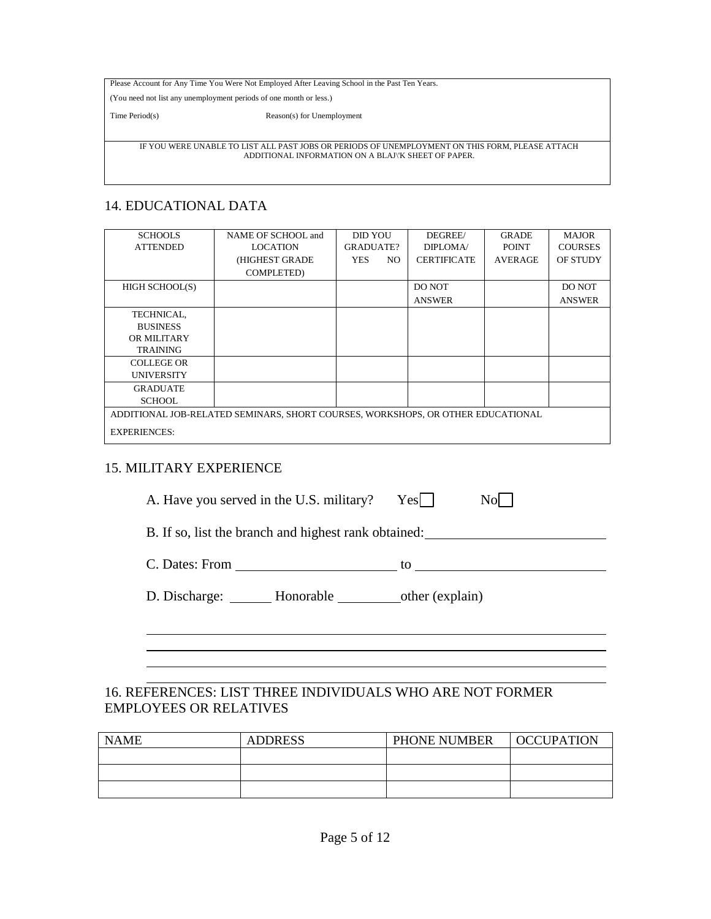Please Account for Any Time You Were Not Employed After Leaving School in the Past Ten Years.

(You need not list any unemployment periods of one month or less.)

Time Period(s) Reason(s) for Unemployment

IF YOU WERE UNABLE TO LIST ALL PAST JOBS OR PERIODS OF UNEMPLOYMENT ON THIS FORM, PLEASE ATTACH ADDITIONAL INFORMATION ON A BLAJ\'K SHEET OF PAPER.

## 14. EDUCATIONAL DATA

| <b>SCHOOLS</b>      | NAME OF SCHOOL and                                                              | <b>DID YOU</b>   |     | DEGREE/            | <b>GRADE</b>   | <b>MAJOR</b>    |
|---------------------|---------------------------------------------------------------------------------|------------------|-----|--------------------|----------------|-----------------|
|                     |                                                                                 |                  |     |                    |                |                 |
| <b>ATTENDED</b>     | <b>LOCATION</b>                                                                 | <b>GRADUATE?</b> |     | <b>DIPLOMA</b>     | <b>POINT</b>   | <b>COURSES</b>  |
|                     | (HIGHEST GRADE                                                                  | YES.             | NO. | <b>CERTIFICATE</b> | <b>AVERAGE</b> | <b>OF STUDY</b> |
|                     | <b>COMPLETED</b> )                                                              |                  |     |                    |                |                 |
| HIGH SCHOOL(S)      |                                                                                 |                  |     | DO NOT             |                | DO NOT          |
|                     |                                                                                 |                  |     | <b>ANSWER</b>      |                | <b>ANSWER</b>   |
| <b>TECHNICAL,</b>   |                                                                                 |                  |     |                    |                |                 |
| <b>BUSINESS</b>     |                                                                                 |                  |     |                    |                |                 |
| OR MILITARY         |                                                                                 |                  |     |                    |                |                 |
| <b>TRAINING</b>     |                                                                                 |                  |     |                    |                |                 |
| COLLEGE OR          |                                                                                 |                  |     |                    |                |                 |
| <b>UNIVERSITY</b>   |                                                                                 |                  |     |                    |                |                 |
| <b>GRADUATE</b>     |                                                                                 |                  |     |                    |                |                 |
| <b>SCHOOL</b>       |                                                                                 |                  |     |                    |                |                 |
|                     | ADDITIONAL JOB-RELATED SEMINARS, SHORT COURSES, WORKSHOPS, OR OTHER EDUCATIONAL |                  |     |                    |                |                 |
| <b>EXPERIENCES:</b> |                                                                                 |                  |     |                    |                |                 |

## 15. MILITARY EXPERIENCE

A. Have you served in the U.S. military?  $Yes$   $\Box$  No

B. If so, list the branch and highest rank obtained:

 $C.$  Dates: From  $\qquad \qquad$  to  $\qquad \qquad$ 

D. Discharge: Honorable other (explain)

## 16. REFERENCES: LIST THREE INDIVIDUALS WHO ARE NOT FORMER EMPLOYEES OR RELATIVES

| <b>NAME</b> | <b>ADDRESS</b> | PHONE NUMBER | OCCUPATION |
|-------------|----------------|--------------|------------|
|             |                |              |            |
|             |                |              |            |
|             |                |              |            |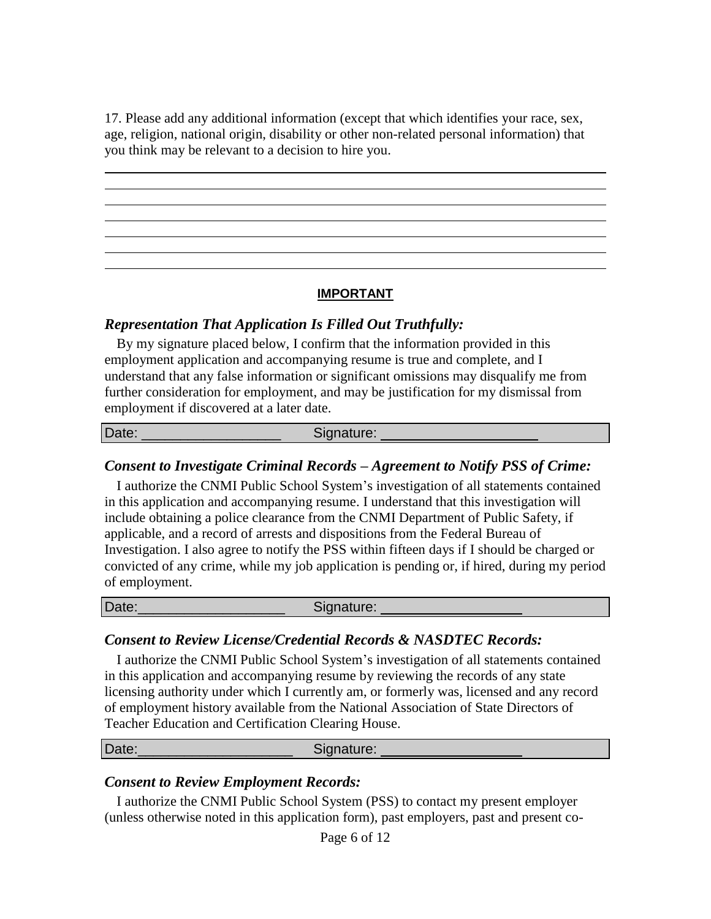17. Please add any additional information (except that which identifies your race, sex, age, religion, national origin, disability or other non-related personal information) that you think may be relevant to a decision to hire you.

## **IMPORTANT**

#### *Representation That Application Is Filled Out Truthfully:*

By my signature placed below, I confirm that the information provided in this employment application and accompanying resume is true and complete, and I understand that any false information or significant omissions may disqualify me from further consideration for employment, and may be justification for my dismissal from employment if discovered at a later date.

Date: \_\_\_\_\_\_\_\_\_\_\_\_\_\_\_\_\_\_\_\_\_\_\_\_\_\_\_\_\_\_\_\_Signature:

#### *Consent to Investigate Criminal Records – Agreement to Notify PSS of Crime:*

I authorize the CNMI Public School System's investigation of all statements contained in this application and accompanying resume. I understand that this investigation will include obtaining a police clearance from the CNMI Department of Public Safety, if applicable, and a record of arrests and dispositions from the Federal Bureau of Investigation. I also agree to notify the PSS within fifteen days if I should be charged or convicted of any crime, while my job application is pending or, if hired, during my period of employment.

| $\sim$<br>Date: | ⊰ignature:<br>.00000 |  |
|-----------------|----------------------|--|
|                 |                      |  |

#### *Consent to Review License/Credential Records & NASDTEC Records:*

I authorize the CNMI Public School System's investigation of all statements contained in this application and accompanying resume by reviewing the records of any state licensing authority under which I currently am, or formerly was, licensed and any record of employment history available from the National Association of State Directors of Teacher Education and Certification Clearing House.

| Date: | Signature: |
|-------|------------|
|       |            |

#### *Consent to Review Employment Records:*

I authorize the CNMI Public School System (PSS) to contact my present employer (unless otherwise noted in this application form), past employers, past and present co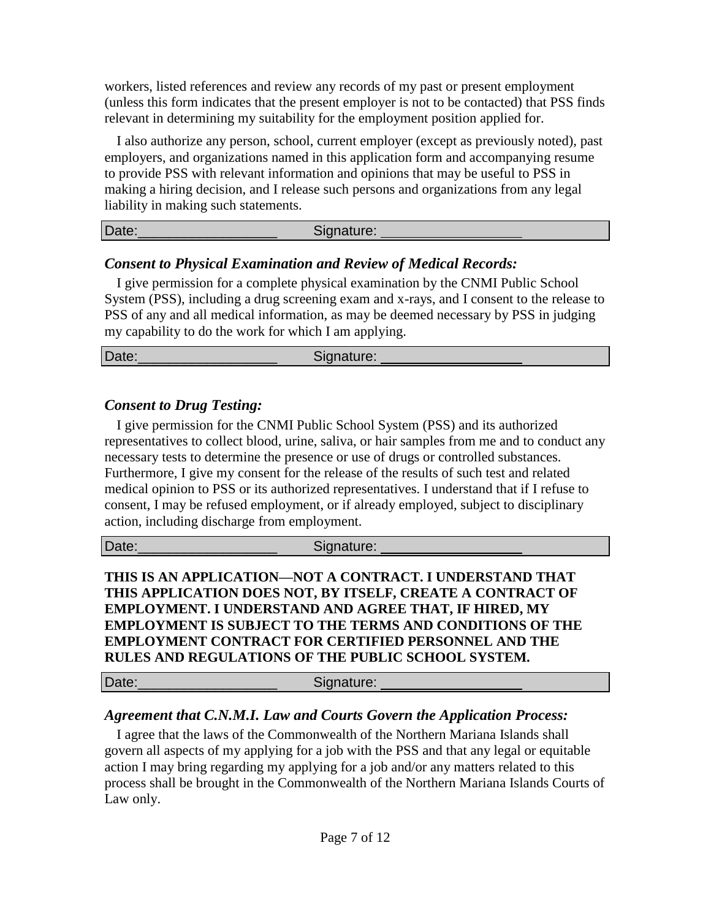workers, listed references and review any records of my past or present employment (unless this form indicates that the present employer is not to be contacted) that PSS finds relevant in determining my suitability for the employment position applied for.

I also authorize any person, school, current employer (except as previously noted), past employers, and organizations named in this application form and accompanying resume to provide PSS with relevant information and opinions that may be useful to PSS in making a hiring decision, and I release such persons and organizations from any legal liability in making such statements.

| Date: | Signature: |
|-------|------------|
|       |            |

## *Consent to Physical Examination and Review of Medical Records:*

I give permission for a complete physical examination by the CNMI Public School System (PSS), including a drug screening exam and x-rays, and I consent to the release to PSS of any and all medical information, as may be deemed necessary by PSS in judging my capability to do the work for which I am applying.

Date:\_\_\_\_\_\_\_\_\_\_\_\_\_\_\_\_\_\_ Signature:

## *Consent to Drug Testing:*

I give permission for the CNMI Public School System (PSS) and its authorized representatives to collect blood, urine, saliva, or hair samples from me and to conduct any necessary tests to determine the presence or use of drugs or controlled substances. Furthermore, I give my consent for the release of the results of such test and related medical opinion to PSS or its authorized representatives. I understand that if I refuse to consent, I may be refused employment, or if already employed, subject to disciplinary action, including discharge from employment.

Date: \_\_\_\_\_\_\_\_\_\_\_\_\_\_\_\_\_\_\_\_\_\_\_\_\_\_\_\_\_Signature:

**THIS IS AN APPLICATION—NOT A CONTRACT. I UNDERSTAND THAT THIS APPLICATION DOES NOT, BY ITSELF, CREATE A CONTRACT OF EMPLOYMENT. I UNDERSTAND AND AGREE THAT, IF HIRED, MY EMPLOYMENT IS SUBJECT TO THE TERMS AND CONDITIONS OF THE EMPLOYMENT CONTRACT FOR CERTIFIED PERSONNEL AND THE RULES AND REGULATIONS OF THE PUBLIC SCHOOL SYSTEM.**

Date: Signature:

# *Agreement that C.N.M.I. Law and Courts Govern the Application Process:*

I agree that the laws of the Commonwealth of the Northern Mariana Islands shall govern all aspects of my applying for a job with the PSS and that any legal or equitable action I may bring regarding my applying for a job and/or any matters related to this process shall be brought in the Commonwealth of the Northern Mariana Islands Courts of Law only.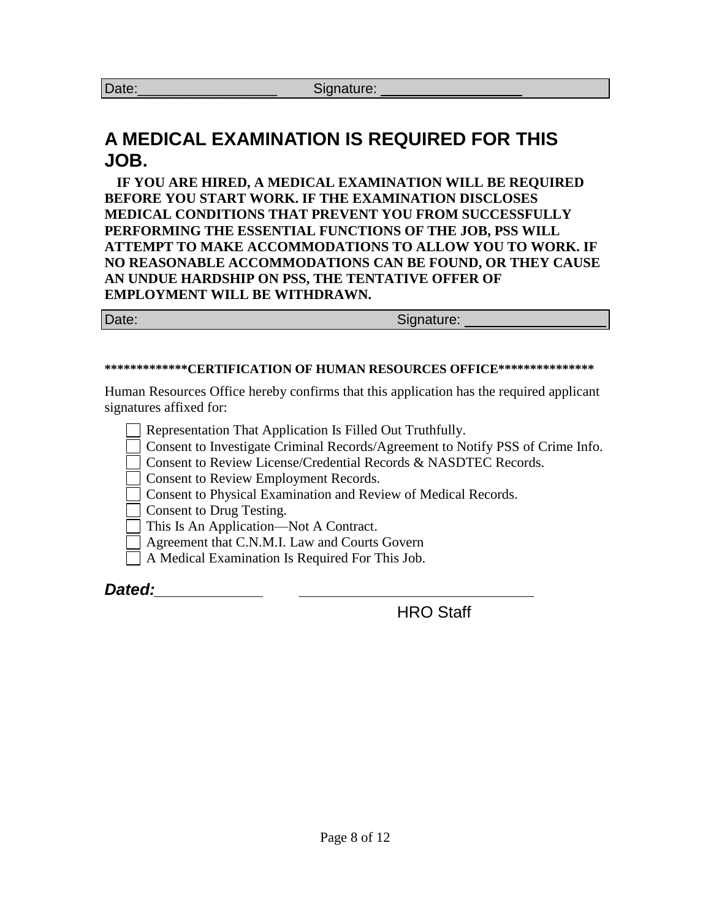# **A MEDICAL EXAMINATION IS REQUIRED FOR THIS JOB.**

**IF YOU ARE HIRED, A MEDICAL EXAMINATION WILL BE REQUIRED BEFORE YOU START WORK. IF THE EXAMINATION DISCLOSES MEDICAL CONDITIONS THAT PREVENT YOU FROM SUCCESSFULLY PERFORMING THE ESSENTIAL FUNCTIONS OF THE JOB, PSS WILL ATTEMPT TO MAKE ACCOMMODATIONS TO ALLOW YOU TO WORK. IF NO REASONABLE ACCOMMODATIONS CAN BE FOUND, OR THEY CAUSE AN UNDUE HARDSHIP ON PSS, THE TENTATIVE OFFER OF EMPLOYMENT WILL BE WITHDRAWN.**

| Date: | Signature: |
|-------|------------|
|       |            |

#### **\*\*\*\*\*\*\*\*\*\*\*\*\*CERTIFICATION OF HUMAN RESOURCES OFFICE\*\*\*\*\*\*\*\*\*\*\*\*\*\*\***

Human Resources Office hereby confirms that this application has the required applicant signatures affixed for:

Representation That Application Is Filled Out Truthfully. Consent to Investigate Criminal Records/Agreement to Notify PSS of Crime Info. Consent to Review License/Credential Records & NASDTEC Records. Consent to Review Employment Records. Consent to Physical Examination and Review of Medical Records. Consent to Drug Testing. This Is An Application—Not A Contract. Agreement that C.N.M.I. Law and Courts Govern A Medical Examination Is Required For This Job. *Dated:\_\_\_\_\_\_\_\_\_\_\_\_ \_\_\_\_\_\_\_\_\_\_\_\_\_\_\_\_\_\_\_\_\_\_\_\_\_\_*

HRO Staff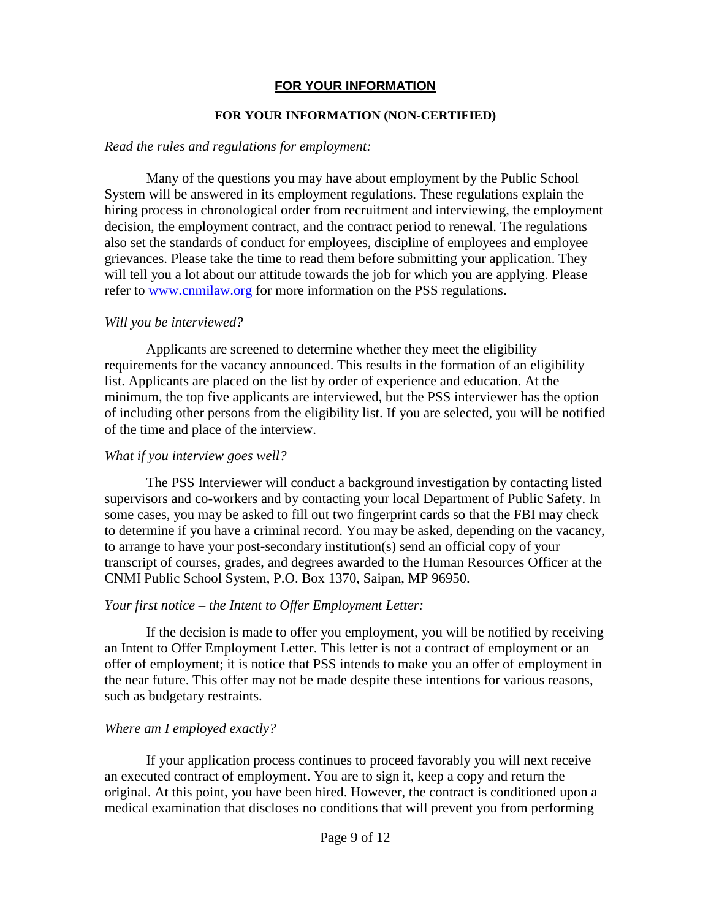## **FOR YOUR INFORMATION**

#### **FOR YOUR INFORMATION (NON-CERTIFIED)**

#### *Read the rules and regulations for employment:*

Many of the questions you may have about employment by the Public School System will be answered in its employment regulations. These regulations explain the hiring process in chronological order from recruitment and interviewing, the employment decision, the employment contract, and the contract period to renewal. The regulations also set the standards of conduct for employees, discipline of employees and employee grievances. Please take the time to read them before submitting your application. They will tell you a lot about our attitude towards the job for which you are applying. Please refer to [www.cnmilaw.org](http://www.cnmilaw.org/) for more information on the PSS regulations.

## *Will you be interviewed?*

Applicants are screened to determine whether they meet the eligibility requirements for the vacancy announced. This results in the formation of an eligibility list. Applicants are placed on the list by order of experience and education. At the minimum, the top five applicants are interviewed, but the PSS interviewer has the option of including other persons from the eligibility list. If you are selected, you will be notified of the time and place of the interview.

#### *What if you interview goes well?*

The PSS Interviewer will conduct a background investigation by contacting listed supervisors and co-workers and by contacting your local Department of Public Safety. In some cases, you may be asked to fill out two fingerprint cards so that the FBI may check to determine if you have a criminal record. You may be asked, depending on the vacancy, to arrange to have your post-secondary institution(s) send an official copy of your transcript of courses, grades, and degrees awarded to the Human Resources Officer at the CNMI Public School System, P.O. Box 1370, Saipan, MP 96950.

## *Your first notice – the Intent to Offer Employment Letter:*

If the decision is made to offer you employment, you will be notified by receiving an Intent to Offer Employment Letter. This letter is not a contract of employment or an offer of employment; it is notice that PSS intends to make you an offer of employment in the near future. This offer may not be made despite these intentions for various reasons, such as budgetary restraints.

## *Where am I employed exactly?*

If your application process continues to proceed favorably you will next receive an executed contract of employment. You are to sign it, keep a copy and return the original. At this point, you have been hired. However, the contract is conditioned upon a medical examination that discloses no conditions that will prevent you from performing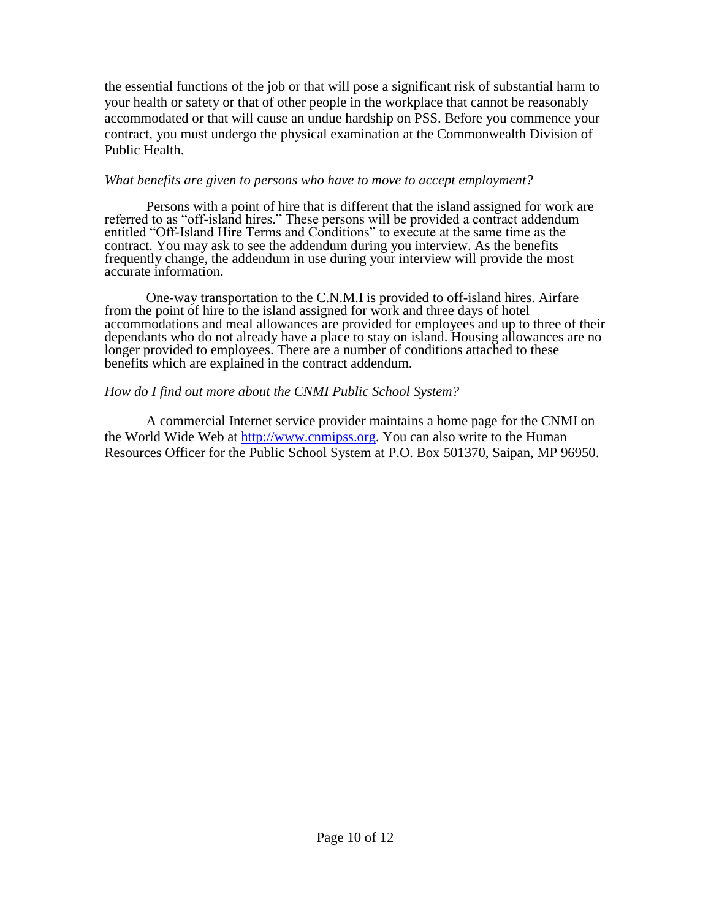the essential functions of the job or that will pose a significant risk of substantial harm to your health or safety or that of other people in the workplace that cannot be reasonably accommodated or that will cause an undue hardship on PSS. Before you commence your contract, you must undergo the physical examination at the Commonwealth Division of Public Health.

#### *What benefits are given to persons who have to move to accept employment?*

Persons with a point of hire that is different that the island assigned for work are referred to as "off-island hires." These persons will be provided a contract addendum entitled "Off-Island Hire Terms and Conditions" to execute at the same time as the contract. You may ask to see the addendum during you interview. As the benefits frequently change, the addendum in use during your interview will provide the most accurate information.

One-way transportation to the C.N.M.I is provided to off-island hires. Airfare from the point of hire to the island assigned for work and three days of hotel accommodations and meal allowances are provided for employees and up to three of their dependants who do not already have a place to stay on island. Housing allowances are no longer provided to employees. There are a number of conditions attached to these benefits which are explained in the contract addendum.

#### *How do I find out more about the CNMI Public School System?*

A commercial Internet service provider maintains a home page for the CNMI on the World Wide Web at [http://www.cnmipss.org.](http://www.cnmipss.org/) You can also write to the Human Resources Officer for the Public School System at P.O. Box 501370, Saipan, MP 96950.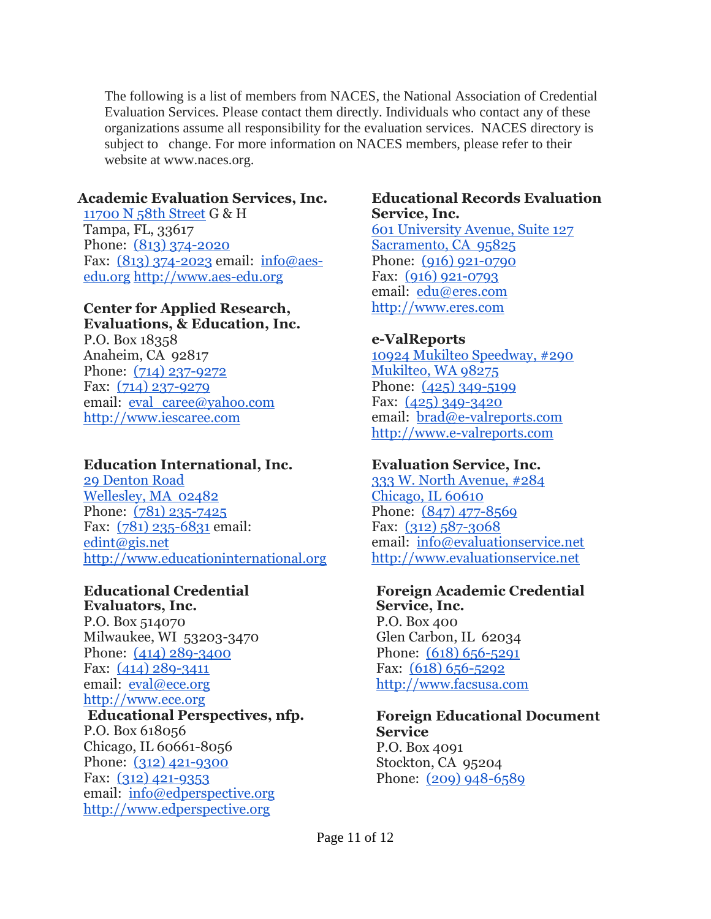The following is a list of members from NACES, the National Association of Credential Evaluation Services. Please contact them directly. Individuals who contact any of these organizations assume all responsibility for the evaluation services. NACES directory is subject to change. For more information on NACES members, please refer to their website at www.naces.org.

#### **Academic Evaluation Services, Inc.**

[11700 N 58th Street](https://maps.google.com/?q=11700+N+58th+Street&entry=gmail&source=g) G & H Tampa, FL, 33617 Phone: [\(813\) 374-2020](tel:(813)%20374-2020) Fax: [\(813\) 374-2023](tel:(813)%20374-2023) email: [info@aes](mailto:info@aes-edu.org)[edu.org](mailto:info@aes-edu.org) [http://www.aes-edu.org](http://www.aes-edu.org/)

#### **Center for Applied Research, Evaluations, & Education, Inc.**

P.O. Box 18358 Anaheim, CA 92817 Phone: [\(714\) 237-9272](tel:(714)%20237-9272) Fax: [\(714\) 237-9279](tel:(714)%20237-9279) email: [eval\\_caree@yahoo.com](mailto:eval_caree@yahoo.com) [http://www.iescaree.com](http://www.iescaree.com/)

## **Education International, Inc.**

[29 Denton Road](https://maps.google.com/?q=29+Denton+Road+Wellesley,+MA%C2%A0+02482&entry=gmail&source=g) [Wellesley, MA 02482](https://maps.google.com/?q=29+Denton+Road+Wellesley,+MA%C2%A0+02482&entry=gmail&source=g) Phone: [\(781\) 235-7425](tel:(781)%20235-7425) Fax: [\(781\) 235-6831](tel:(781)%20235-6831) email: [edint@gis.net](mailto:edint@gis.net) [http://www.educationinternational.org](http://www.educationinternational.org/)

# **Educational Credential**

**Evaluators, Inc.** P.O. Box 514070 Milwaukee, WI 53203-3470 Phone: [\(414\) 289-3400](tel:(414)%20289-3400) Fax: [\(414\) 289-3411](tel:(414)%20289-3411) email: [eval@ece.org](mailto:eval@ece.org) [http://www.ece.org](http://www.ece.org/)

# **Educational Perspectives, nfp.**

P.O. Box 618056 Chicago, IL 60661-8056 Phone: [\(312\) 421-9300](tel:(312)%20421-9300) Fax: [\(312\) 421-9353](tel:(312)%20421-9353) email: [info@edperspective.org](mailto:info@edperspective.org) [http://www.edperspective.org](http://www.edperspective.org/)

#### **Educational Records Evaluation Service, Inc.**

[601 University Avenue, Suite 127](https://maps.google.com/?q=601+University+Avenue,+Suite+127+Sacramento,+CA%C2%A0+95825&entry=gmail&source=g) [Sacramento, CA 95825](https://maps.google.com/?q=601+University+Avenue,+Suite+127+Sacramento,+CA%C2%A0+95825&entry=gmail&source=g) Phone: [\(916\) 921-0790](tel:(916)%20921-0790) Fax: [\(916\) 921-0793](tel:(916)%20921-0793) email: [edu@eres.com](mailto:edu@eres.com) [http://www.eres.com](http://www.eres.com/)

## **e-ValReports**

[10924 Mukilteo Speedway, #290](https://maps.google.com/?q=10924+Mukilteo+Speedway,+%23290+Mukilteo,+WA+98275&entry=gmail&source=g) [Mukilteo, WA 98275](https://maps.google.com/?q=10924+Mukilteo+Speedway,+%23290+Mukilteo,+WA+98275&entry=gmail&source=g) Phone: [\(425\) 349-5199](tel:(425)%20349-5199) Fax: [\(425\) 349-3420](tel:(425)%20349-3420) email: [brad@e-valreports.com](mailto:brad@e-valreports.com) [http://www.e-valreports.com](http://www.e-valreports.com/)

## **Evaluation Service, Inc.**

[333 W. North Avenue, #284](https://maps.google.com/?q=333+W.+North+Avenue,+%23284+Chicago,+IL+60610&entry=gmail&source=g) [Chicago, IL 60610](https://maps.google.com/?q=333+W.+North+Avenue,+%23284+Chicago,+IL+60610&entry=gmail&source=g) Phone: [\(847\) 477-8569](tel:(847)%20477-8569) Fax: [\(312\) 587-3068](tel:(312)%20587-3068) email: [info@evaluationservice.net](mailto:info@evaluationservice.net) http://www.evaluationservice.net

## **Foreign Academic Credential**

**Service, Inc.** P.O. Box 400 Glen Carbon, IL 62034 Phone:  $(618)$  656-5291 Fax:  $(618)$  656-5292 [http://www.facsusa.com](http://www.facsusa.com/)

#### **Foreign Educational Document Service** P.O. Box 4091 Stockton, CA 95204 Phone: [\(209\) 948-6589](tel:(209)%20948-6589)